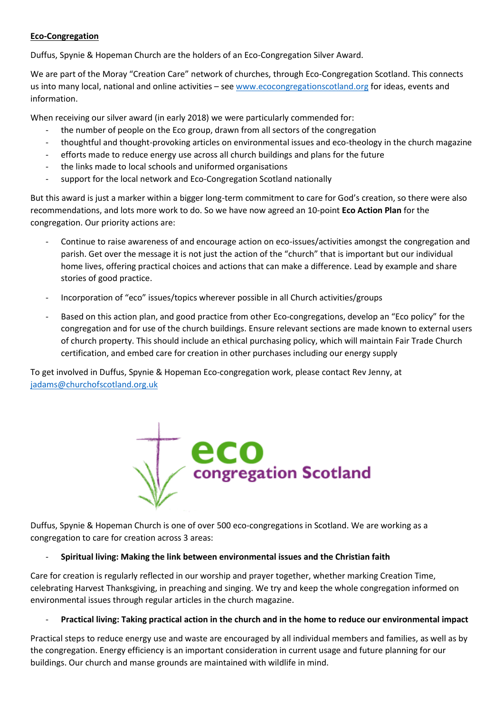### **Eco-Congregation**

Duffus, Spynie & Hopeman Church are the holders of an Eco-Congregation Silver Award.

We are part of the Moray "Creation Care" network of churches, through Eco-Congregation Scotland. This connects us into many local, national and online activities - se[e www.ecocongregationscotland.org](http://www.ecocongregationscotland.org/) for ideas, events and information.

When receiving our silver award (in early 2018) we were particularly commended for:

- the number of people on the Eco group, drawn from all sectors of the congregation
- thoughtful and thought-provoking articles on environmental issues and eco-theology in the church magazine
- efforts made to reduce energy use across all church buildings and plans for the future
- the links made to local schools and uniformed organisations
- support for the local network and Eco-Congregation Scotland nationally

But this award is just a marker within a bigger long-term commitment to care for God's creation, so there were also recommendations, and lots more work to do. So we have now agreed an 10-point **Eco Action Plan** for the congregation. Our priority actions are:

- Continue to raise awareness of and encourage action on eco-issues/activities amongst the congregation and parish. Get over the message it is not just the action of the "church" that is important but our individual home lives, offering practical choices and actions that can make a difference. Lead by example and share stories of good practice.
- Incorporation of "eco" issues/topics wherever possible in all Church activities/groups
- Based on this action plan, and good practice from other Eco-congregations, develop an "Eco policy" for the congregation and for use of the church buildings. Ensure relevant sections are made known to external users of church property. This should include an ethical purchasing policy, which will maintain Fair Trade Church certification, and embed care for creation in other purchases including our energy supply

To get involved in Duffus, Spynie & Hopeman Eco-congregation work, please contact Rev Jenny, at [jadams@churchofscotland.org.uk](mailto:jadams@churchofscotland.org.uk)



Duffus, Spynie & Hopeman Church is one of over 500 eco-congregations in Scotland. We are working as a congregation to care for creation across 3 areas:

### - **Spiritual living: Making the link between environmental issues and the Christian faith**

Care for creation is regularly reflected in our worship and prayer together, whether marking Creation Time, celebrating Harvest Thanksgiving, in preaching and singing. We try and keep the whole congregation informed on environmental issues through regular articles in the church magazine.

### - **Practical living: Taking practical action in the church and in the home to reduce our environmental impact**

Practical steps to reduce energy use and waste are encouraged by all individual members and families, as well as by the congregation. Energy efficiency is an important consideration in current usage and future planning for our buildings. Our church and manse grounds are maintained with wildlife in mind.